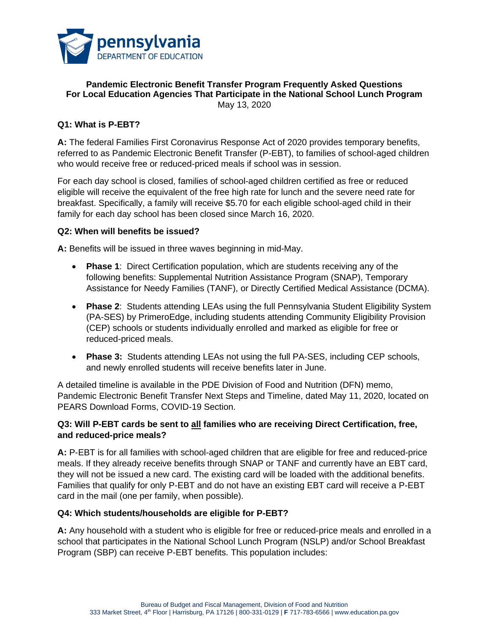

#### **Pandemic Electronic Benefit Transfer Program Frequently Asked Questions For Local Education Agencies That Participate in the National School Lunch Program** May 13, 2020

# **Q1: What is P-EBT?**

**A:** The federal Families First Coronavirus Response Act of 2020 provides temporary benefits, referred to as Pandemic Electronic Benefit Transfer (P-EBT), to families of school-aged children who would receive free or reduced-priced meals if school was in session.

For each day school is closed, families of school-aged children certified as free or reduced eligible will receive the equivalent of the free high rate for lunch and the severe need rate for breakfast. Specifically, a family will receive \$5.70 for each eligible school-aged child in their family for each day school has been closed since March 16, 2020.

#### **Q2: When will benefits be issued?**

**A:** Benefits will be issued in three waves beginning in mid-May.

- **Phase 1**: Direct Certification population, which are students receiving any of the following benefits: Supplemental Nutrition Assistance Program (SNAP), Temporary Assistance for Needy Families (TANF), or Directly Certified Medical Assistance (DCMA).
- **Phase 2**: Students attending LEAs using the full Pennsylvania Student Eligibility System (PA-SES) by PrimeroEdge, including students attending Community Eligibility Provision (CEP) schools or students individually enrolled and marked as eligible for free or reduced-priced meals.
- **Phase 3:** Students attending LEAs not using the full PA-SES, including CEP schools, and newly enrolled students will receive benefits later in June.

A detailed timeline is available in the PDE Division of Food and Nutrition (DFN) memo, Pandemic Electronic Benefit Transfer Next Steps and Timeline, dated May 11, 2020, located on PEARS Download Forms, COVID-19 Section.

# **Q3: Will P-EBT cards be sent to all families who are receiving Direct Certification, free, and reduced-price meals?**

**A:** P-EBT is for all families with school-aged children that are eligible for free and reduced-price meals. If they already receive benefits through SNAP or TANF and currently have an EBT card, they will not be issued a new card. The existing card will be loaded with the additional benefits. Families that qualify for only P-EBT and do not have an existing EBT card will receive a P-EBT card in the mail (one per family, when possible).

#### **Q4: Which students/households are eligible for P-EBT?**

**A:** Any household with a student who is eligible for free or reduced-price meals and enrolled in a school that participates in the National School Lunch Program (NSLP) and/or School Breakfast Program (SBP) can receive P-EBT benefits. This population includes: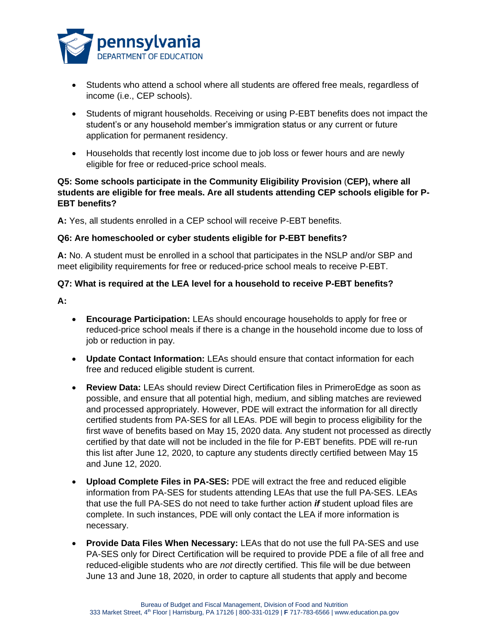

- Students who attend a school where all students are offered free meals, regardless of income (i.e., CEP schools).
- Students of migrant households. Receiving or using P-EBT benefits does not impact the student's or any household member's immigration status or any current or future application for permanent residency.
- Households that recently lost income due to job loss or fewer hours and are newly eligible for free or reduced-price school meals.

# **Q5: Some schools participate in the Community Eligibility Provision** (**CEP), where all students are eligible for free meals. Are all students attending CEP schools eligible for P-EBT benefits?**

**A:** Yes, all students enrolled in a CEP school will receive P-EBT benefits.

# **Q6: Are homeschooled or cyber students eligible for P-EBT benefits?**

**A:** No. A student must be enrolled in a school that participates in the NSLP and/or SBP and meet eligibility requirements for free or reduced-price school meals to receive P-EBT.

# **Q7: What is required at the LEA level for a household to receive P-EBT benefits?**

- **A:**
- **Encourage Participation:** LEAs should encourage households to apply for free or reduced-price school meals if there is a change in the household income due to loss of job or reduction in pay.
- **Update Contact Information:** LEAs should ensure that contact information for each free and reduced eligible student is current.
- **Review Data:** LEAs should review Direct Certification files in PrimeroEdge as soon as possible, and ensure that all potential high, medium, and sibling matches are reviewed and processed appropriately. However, PDE will extract the information for all directly certified students from PA-SES for all LEAs. PDE will begin to process eligibility for the first wave of benefits based on May 15, 2020 data. Any student not processed as directly certified by that date will not be included in the file for P-EBT benefits. PDE will re-run this list after June 12, 2020, to capture any students directly certified between May 15 and June 12, 2020.
- **Upload Complete Files in PA-SES:** PDE will extract the free and reduced eligible information from PA-SES for students attending LEAs that use the full PA-SES. LEAs that use the full PA-SES do not need to take further action *if* student upload files are complete. In such instances, PDE will only contact the LEA if more information is necessary.
- **Provide Data Files When Necessary:** LEAs that do not use the full PA-SES and use PA-SES only for Direct Certification will be required to provide PDE a file of all free and reduced-eligible students who are *not* directly certified. This file will be due between June 13 and June 18, 2020, in order to capture all students that apply and become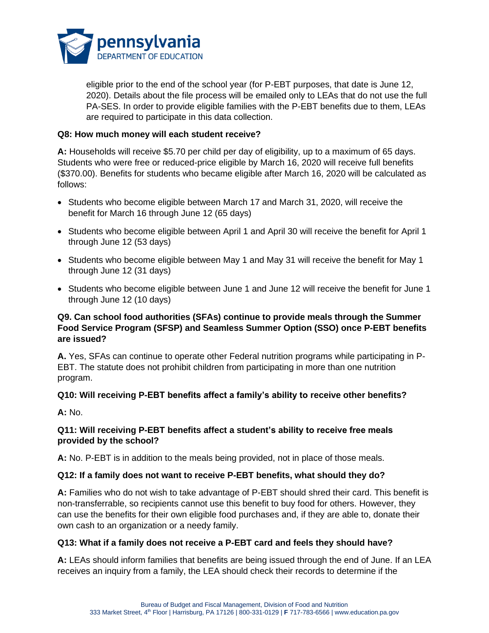

eligible prior to the end of the school year (for P-EBT purposes, that date is June 12, 2020). Details about the file process will be emailed only to LEAs that do not use the full PA-SES. In order to provide eligible families with the P-EBT benefits due to them, LEAs are required to participate in this data collection.

### **Q8: How much money will each student receive?**

**A:** Households will receive \$5.70 per child per day of eligibility, up to a maximum of 65 days. Students who were free or reduced-price eligible by March 16, 2020 will receive full benefits (\$370.00). Benefits for students who became eligible after March 16, 2020 will be calculated as follows:

- Students who become eligible between March 17 and March 31, 2020, will receive the benefit for March 16 through June 12 (65 days)
- Students who become eligible between April 1 and April 30 will receive the benefit for April 1 through June 12 (53 days)
- Students who become eligible between May 1 and May 31 will receive the benefit for May 1 through June 12 (31 days)
- Students who become eligible between June 1 and June 12 will receive the benefit for June 1 through June 12 (10 days)

# **Q9. Can school food authorities (SFAs) continue to provide meals through the Summer Food Service Program (SFSP) and Seamless Summer Option (SSO) once P-EBT benefits are issued?**

**A.** Yes, SFAs can continue to operate other Federal nutrition programs while participating in P-EBT. The statute does not prohibit children from participating in more than one nutrition program.

# **Q10: Will receiving P-EBT benefits affect a family's ability to receive other benefits?**

**A:** No.

# **Q11: Will receiving P-EBT benefits affect a student's ability to receive free meals provided by the school?**

**A:** No. P-EBT is in addition to the meals being provided, not in place of those meals.

# **Q12: If a family does not want to receive P-EBT benefits, what should they do?**

**A:** Families who do not wish to take advantage of P-EBT should shred their card. This benefit is non-transferrable, so recipients cannot use this benefit to buy food for others. However, they can use the benefits for their own eligible food purchases and, if they are able to, donate their own cash to an organization or a needy family.

# **Q13: What if a family does not receive a P-EBT card and feels they should have?**

**A:** LEAs should inform families that benefits are being issued through the end of June. If an LEA receives an inquiry from a family, the LEA should check their records to determine if the